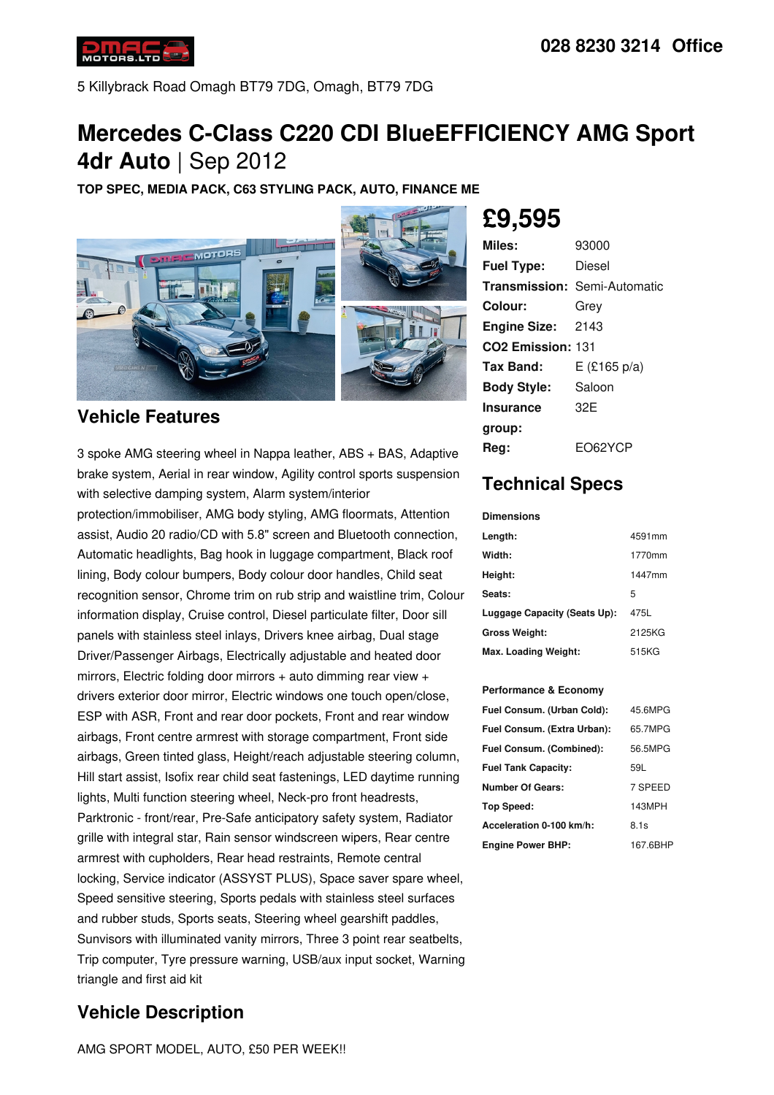

5 Killybrack Road Omagh BT79 7DG, Omagh, BT79 7DG

## **Mercedes C-Class C220 CDI BlueEFFICIENCY AMG Sport 4dr Auto** | Sep 2012

**TOP SPEC, MEDIA PACK, C63 STYLING PACK, AUTO, FINANCE ME**



### **Vehicle Features**

3 spoke AMG steering wheel in Nappa leather, ABS + BAS, Adaptive brake system, Aerial in rear window, Agility control sports suspension with selective damping system, Alarm system/interior

protection/immobiliser, AMG body styling, AMG floormats, Attention assist, Audio 20 radio/CD with 5.8" screen and Bluetooth connection, Automatic headlights, Bag hook in luggage compartment, Black roof lining, Body colour bumpers, Body colour door handles, Child seat recognition sensor, Chrome trim on rub strip and waistline trim, Colour information display, Cruise control, Diesel particulate filter, Door sill panels with stainless steel inlays, Drivers knee airbag, Dual stage Driver/Passenger Airbags, Electrically adjustable and heated door mirrors, Electric folding door mirrors + auto dimming rear view + drivers exterior door mirror, Electric windows one touch open/close, ESP with ASR, Front and rear door pockets, Front and rear window airbags, Front centre armrest with storage compartment, Front side airbags, Green tinted glass, Height/reach adjustable steering column, Hill start assist, Isofix rear child seat fastenings, LED daytime running lights, Multi function steering wheel, Neck-pro front headrests, Parktronic - front/rear, Pre-Safe anticipatory safety system, Radiator grille with integral star, Rain sensor windscreen wipers, Rear centre armrest with cupholders, Rear head restraints, Remote central locking, Service indicator (ASSYST PLUS), Space saver spare wheel, Speed sensitive steering, Sports pedals with stainless steel surfaces and rubber studs, Sports seats, Steering wheel gearshift paddles, Sunvisors with illuminated vanity mirrors, Three 3 point rear seatbelts, Trip computer, Tyre pressure warning, USB/aux input socket, Warning triangle and first aid kit

### **Vehicle Description**

AMG SPORT MODEL, AUTO, £50 PER WEEK!!

# **£9,595**

| Miles:                        | 93000                               |
|-------------------------------|-------------------------------------|
| <b>Fuel Type:</b>             | Diesel                              |
|                               | <b>Transmission: Semi-Automatic</b> |
| Colour:                       | Grey                                |
| <b>Engine Size: 2143</b>      |                                     |
| CO <sub>2</sub> Emission: 131 |                                     |
| Tax Band:                     | $E$ (£165 p/a)                      |
| <b>Body Style:</b>            | Saloon                              |
| <b>Insurance</b>              | 32F                                 |
| group:                        |                                     |
| Rea:                          | EO62YCP                             |

### **Technical Specs**

#### **Dimensions**

| Length:                      | 4591mm |
|------------------------------|--------|
| Width:                       | 1770mm |
| Height:                      | 1447mm |
| Seats:                       | 5      |
| Luggage Capacity (Seats Up): | 475L   |
| <b>Gross Weight:</b>         | 2125KG |
| Max. Loading Weight:         | 515KG  |

#### **Performance & Economy**

| Fuel Consum. (Urban Cold):  | 45.6MPG  |
|-----------------------------|----------|
| Fuel Consum. (Extra Urban): | 65.7MPG  |
| Fuel Consum. (Combined):    | 56.5MPG  |
| <b>Fuel Tank Capacity:</b>  | 59L      |
| <b>Number Of Gears:</b>     | 7 SPEED  |
| <b>Top Speed:</b>           | 143MPH   |
| Acceleration 0-100 km/h:    | 8.1s     |
| <b>Engine Power BHP:</b>    | 167.6BHP |